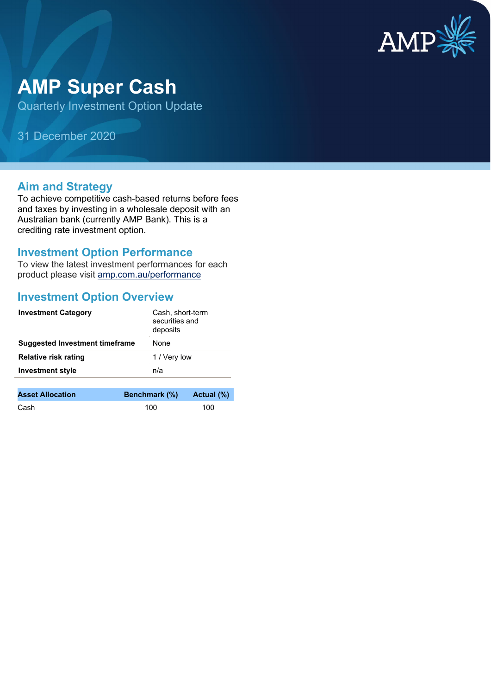

# **AMP Super Cash**

Quarterly Investment Option Update

31 December 2020

## **Aim and Strategy**

To achieve competitive cash-based returns before fees and taxes by investing in a wholesale deposit with an Australian bank (currently AMP Bank). This is a crediting rate investment option.

#### **Investment Option Performance**

To view the latest investment performances for each product please visit [amp.com.au/performance](https://www.amp.com.au/performance)

#### **Investment Option Overview**

| <b>Investment Category</b>            | Cash, short-term<br>securities and<br>deposits |
|---------------------------------------|------------------------------------------------|
| <b>Suggested Investment timeframe</b> | None                                           |
| Relative risk rating                  | 1 / Very low                                   |
| <b>Investment style</b>               | n/a                                            |
|                                       |                                                |
| <b>Asset Allocation</b>               | Benchmark (%)<br>Actual (%)                    |

Cash 100 100